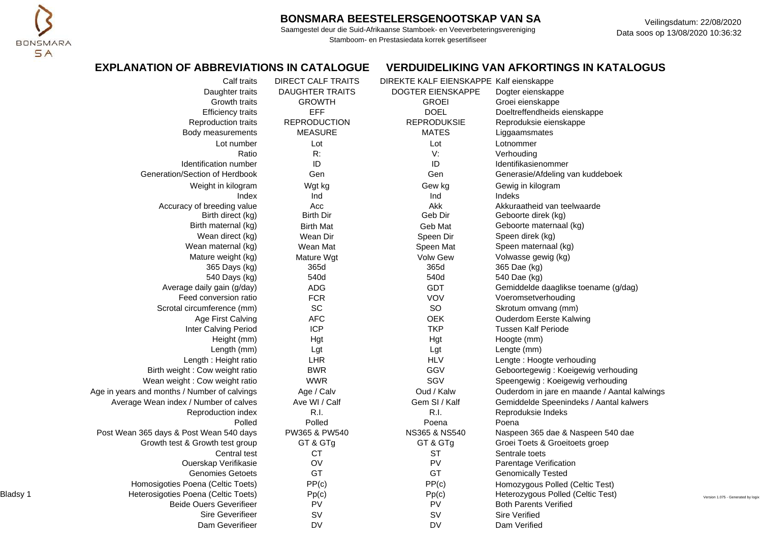

Saamgestel deur die Suid-Afrikaanse Stamboek- en Veeverbeteringsvereniging Stamboom- en Prestasiedata korrek gesertifiseer

Veilingsdatum: 22/08/2020 Data soos op 13/08/2020 10:36:32

## **EXPLANATION OF ABBREVIATIONS IN CATALOGUE VERDUIDELIKING VAN AFKORTINGS IN KATALOGUS**

| <b>DAUGHTER TRAITS</b><br>DOGTER EIENSKAPPE<br>Daughter traits<br>Dogter eienskappe<br><b>GROWTH</b><br>Growth traits<br><b>GROEI</b><br>Groei eienskappe |                                    |
|-----------------------------------------------------------------------------------------------------------------------------------------------------------|------------------------------------|
|                                                                                                                                                           |                                    |
|                                                                                                                                                           |                                    |
| <b>EFF</b><br><b>DOEL</b><br><b>Efficiency traits</b><br>Doeltreffendheids eienskappe                                                                     |                                    |
| <b>REPRODUCTION</b><br><b>REPRODUKSIE</b><br>Reproduction traits<br>Reproduksie eienskappe                                                                |                                    |
| <b>MEASURE</b><br><b>MATES</b><br>Body measurements<br>Liggaamsmates                                                                                      |                                    |
| Lot number<br>Lot<br>Lot<br>Lotnommer                                                                                                                     |                                    |
| R:<br>V:<br>Ratio<br>Verhouding                                                                                                                           |                                    |
| ID<br>ID<br>Identification number<br>Identifikasienommer                                                                                                  |                                    |
| Generation/Section of Herdbook<br>Gen<br>Gen<br>Generasie/Afdeling van kuddeboek                                                                          |                                    |
| Weight in kilogram<br>Wgt kg<br>Gew kg<br>Gewig in kilogram                                                                                               |                                    |
| Index<br>Ind<br>Ind<br><b>Indeks</b>                                                                                                                      |                                    |
| Akk<br>Akkuraatheid van teelwaarde<br>Accuracy of breeding value<br>Acc                                                                                   |                                    |
| <b>Birth Dir</b><br>Geb Dir<br>Birth direct (kg)<br>Geboorte direk (kg)                                                                                   |                                    |
| Birth maternal (kg)<br>Geboorte maternaal (kg)<br><b>Birth Mat</b><br>Geb Mat                                                                             |                                    |
| Wean direct (kg)<br>Speen direk (kg)<br>Wean Dir<br>Speen Dir                                                                                             |                                    |
| Wean maternal (kg)<br>Wean Mat<br>Speen maternaal (kg)<br>Speen Mat                                                                                       |                                    |
| Volwasse gewig (kg)<br>Mature weight (kg)<br><b>Volw Gew</b><br>Mature Wgt                                                                                |                                    |
| 365d<br>365d<br>365 Dae (kg)<br>365 Days (kg)                                                                                                             |                                    |
| 540d<br>540 Days (kg)<br>540d<br>540 Dae (kg)                                                                                                             |                                    |
| Average daily gain (g/day)<br><b>ADG</b><br><b>GDT</b><br>Gemiddelde daaglikse toename (g/dag)                                                            |                                    |
| <b>FCR</b><br>Feed conversion ratio<br><b>VOV</b><br>Voeromsetverhouding                                                                                  |                                    |
| SC<br>SO<br>Scrotal circumference (mm)<br>Skrotum omvang (mm)                                                                                             |                                    |
| <b>AFC</b><br><b>OEK</b><br>Age First Calving<br>Ouderdom Eerste Kalwing                                                                                  |                                    |
| <b>ICP</b><br><b>TKP</b><br>Inter Calving Period<br><b>Tussen Kalf Periode</b>                                                                            |                                    |
| Height (mm)<br>Hgt<br>Hgt<br>Hoogte (mm)                                                                                                                  |                                    |
| Length (mm)<br>Lgt<br>Lgt<br>Lengte (mm)                                                                                                                  |                                    |
| <b>LHR</b><br><b>HLV</b><br>Length: Height ratio<br>Lengte: Hoogte verhouding                                                                             |                                    |
| <b>BWR</b><br>GGV<br>Birth weight : Cow weight ratio<br>Geboortegewig: Koeigewig verhouding                                                               |                                    |
| <b>WWR</b><br>SGV<br>Wean weight : Cow weight ratio<br>Speengewig: Koeigewig verhouding                                                                   |                                    |
| Age / Calv<br>Oud / Kalw<br>Age in years and months / Number of calvings<br>Ouderdom in jare en maande / Aantal kalwings                                  |                                    |
| Ave WI / Calf<br>Gem SI / Kalf<br>Average Wean index / Number of calves<br>Gemiddelde Speenindeks / Aantal kalwers                                        |                                    |
| R.I.<br>R.I.<br>Reproduction index<br>Reproduksie Indeks                                                                                                  |                                    |
| Polled<br>Polled<br>Poena<br>Poena                                                                                                                        |                                    |
| Post Wean 365 days & Post Wean 540 days<br>PW365 & PW540<br>NS365 & NS540<br>Naspeen 365 dae & Naspeen 540 dae                                            |                                    |
| Growth test & Growth test group<br>GT & GTg<br>GT & GTg<br>Groei Toets & Groeitoets groep                                                                 |                                    |
| Central test<br><b>CT</b><br>ST<br>Sentrale toets                                                                                                         |                                    |
| OV<br>PV<br>Ouerskap Verifikasie<br>Parentage Verification                                                                                                |                                    |
| GT<br>GT<br><b>Genomies Getoets</b><br><b>Genomically Tested</b>                                                                                          |                                    |
| PP(c)<br>PP(c)<br>Homosigoties Poena (Celtic Toets)<br>Homozygous Polled (Celtic Test)                                                                    |                                    |
| Bladsy 1<br>Heterosigoties Poena (Celtic Toets)<br>Pp(c)<br>Pp(c)<br>Heterozygous Polled (Celtic Test)                                                    | Version 1.075 - Generated by logix |
| PV<br>PV<br><b>Beide Ouers Geverifieer</b><br><b>Both Parents Verified</b>                                                                                |                                    |
| SV<br>SV<br><b>Sire Geverifieer</b><br><b>Sire Verified</b>                                                                                               |                                    |
| <b>DV</b><br><b>DV</b><br>Dam Geverifieer<br>Dam Verified                                                                                                 |                                    |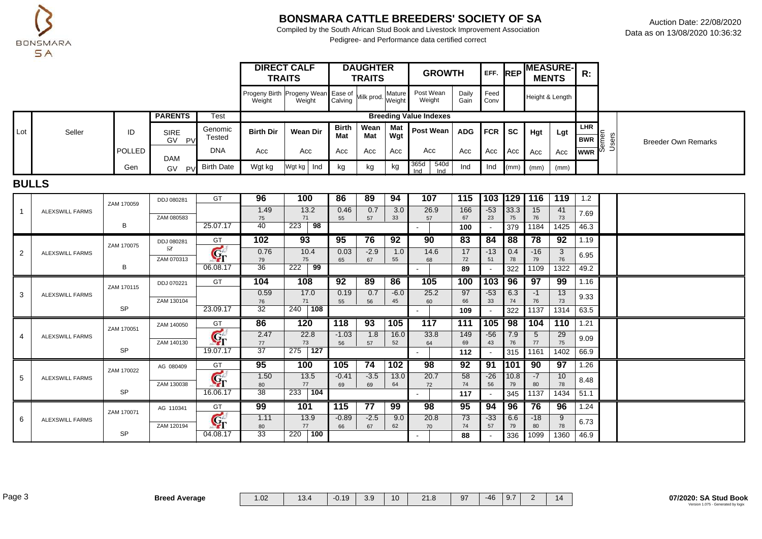

Compiled by the South African Stud Book and Livestock Improvement Association Pedigree- and Performance data certified correct

|     |        |        |                                       |                                  | <b>TRAITS</b>                                             | <b>DIRECT CALF</b> |                            | <b>DAUGHTER</b><br><b>TRAITS</b> |                    | <b>GROWTH</b>                 |               | EFF. REP       |         | <b>MEASURE-</b><br><b>MENTS</b> |      | R:                                                                                                                                         |                            |
|-----|--------|--------|---------------------------------------|----------------------------------|-----------------------------------------------------------|--------------------|----------------------------|----------------------------------|--------------------|-------------------------------|---------------|----------------|---------|---------------------------------|------|--------------------------------------------------------------------------------------------------------------------------------------------|----------------------------|
|     |        |        |                                       |                                  | Progeny Birth Progeny Wean Ease of Milk prod. M<br>Weight | Weight             | Calving                    |                                  | , Mature<br>Weight | Post Wean<br>Weight           | Daily<br>Gain | Feed<br>Conv   |         | Height & Length                 |      |                                                                                                                                            |                            |
|     |        |        | <b>PARENTS</b>                        | Test                             |                                                           |                    |                            |                                  |                    | <b>Breeding Value Indexes</b> |               |                |         |                                 |      |                                                                                                                                            |                            |
| ∟ot | Seller | ID     | <b>SIRE</b><br><b>GV</b><br><b>PV</b> | Genomic<br>Tested                | <b>Birth Dir</b>                                          | Wean Dir           | <b>Birth</b><br><b>Mat</b> | Wean<br>Mat                      | Mat<br>Wgt         | Post Wean                     | <b>ADG</b>    | <b>FCR ISC</b> |         | Hgt                             | Lgt  | <b>LHR</b><br>$\begin{bmatrix} \overline{BWR} & \overline{E} & \overline{Z} \\ \overline{BWR} & \overline{E} & \overline{C} \end{bmatrix}$ | <b>Breeder Own Remarks</b> |
|     |        | POLLED | DAM                                   | <b>DNA</b>                       | Acc                                                       | Acc                | Acc                        | Acc                              | Acc                | Acc                           | Acc           | Acc            | $1$ Acc | Acc                             | Acc  | $wwR$ <sup>00</sup>                                                                                                                        |                            |
|     |        | Gen    | GV                                    | $\sim$ p <sub>V</sub> Birth Date | Wgt kg                                                    | Wgt kg   Ind       | kg                         | kg                               | kg                 | 365d<br>540d<br>Ind           | Ind           | Ind            |         | $(mm)$ $(mm)$                   | (mm) |                                                                                                                                            |                            |

### **BULLS**

|                |                        | ZAM 170059 | DDJ 080281      | GT                                | 96                    | 100              | 86      | 89     | 94     | 107  | 115       | 103 129 |            | 116        | 119        | 1.2          |  |
|----------------|------------------------|------------|-----------------|-----------------------------------|-----------------------|------------------|---------|--------|--------|------|-----------|---------|------------|------------|------------|--------------|--|
| $\overline{1}$ | <b>ALEXSWILL FARMS</b> |            |                 |                                   | 1.49                  | 13.2             | 0.46    | 0.7    | 3.0    | 26.9 | 166       | $-53$   | 33.3       | 15         | 41         | 7.69         |  |
|                |                        | В          | ZAM 080583      | 25.07.17                          | 75<br>40              | 71<br>98<br>223  | 55      | 57     | 33     | 57   | 67<br>100 | 23      | 75<br>379  | 76<br>1184 | 73<br>1425 | 46.3         |  |
|                |                        |            |                 |                                   | 102                   | 93               | 95      | 76     | 92     | 90   | 83        | 84      | 88         | 78         | 92         | 1.19         |  |
|                |                        | ZAM 170075 | DDJ 080281<br>√ | GT                                |                       |                  |         |        |        |      |           |         |            |            |            |              |  |
| 2              | <b>ALEXSWILL FARMS</b> |            | ZAM 070313      | $\mathbf{G}_{\Gamma}$             | 0.76                  | 10.4             | 0.03    | $-2.9$ | 1.0    | 14.6 | 17        | $-13$   | 0.4        | $-16$      | 3          | 6.95         |  |
|                |                        | В          |                 | 06.08.17                          | 79<br>$\overline{36}$ | 75<br>222<br>99  | 65      | 67     | 55     | 68   | 72<br>89  | 51      | 78<br>322  | 79<br>1109 | 76<br>1322 | 49.2         |  |
|                |                        |            |                 |                                   |                       |                  |         |        |        |      |           |         |            |            |            |              |  |
|                |                        | ZAM 170115 | DDJ 070221      | GT                                | 104                   | 108              | 92      | 89     | 86     | 105  | 100       | 103     | 96         | 97         | 99         | 1.16         |  |
| 3              | <b>ALEXSWILL FARMS</b> |            |                 |                                   | 0.59                  | 17.0             | 0.19    | 0.7    | $-6.0$ | 25.2 | 97        | $-53$   | 6.3        | $-1$       | 13         | 9.33         |  |
|                |                        | <b>SP</b>  | ZAM 130104      | 23.09.17                          | 76<br>32              | 71<br>240 108    | 55      | 56     | 45     | 60   | 66        | 33      | 74         | 76         | 73         |              |  |
|                |                        |            |                 |                                   |                       |                  |         |        |        |      | 109       |         | 322        | 1137       | 1314       | 63.5         |  |
|                |                        |            |                 |                                   |                       |                  |         |        |        |      |           |         |            |            |            |              |  |
|                |                        |            | ZAM 140050      | GT                                | 86                    | 120              | 118     | 93     | 105    | 117  | 111       | 105     | 98         | 104        | 110        | 1.21         |  |
| 4              | <b>ALEXSWILL FARMS</b> | ZAM 170051 |                 |                                   | 2.47                  | 22.8             | $-1.03$ | 1.8    | 16.0   | 33.8 | 149       | $-56$   | 7.9        | 5          | 29         |              |  |
|                |                        |            | ZAM 140130      | $\mathbf{G}_{\Gamma}$             | 77                    | 73               | 56      | 57     | 52     | 64   | 69        | 43      | 76         | 77         | 75         | 9.09         |  |
|                |                        | <b>SP</b>  |                 | 19.07.17                          | $\overline{37}$       | $275$ 127        |         |        |        |      | 112       |         | 315        | 1161       | 1402       | 66.9         |  |
|                |                        |            | AG 080409       | GT                                | 95                    | 100              | 105     | 74     | 102    | 98   | 92        | 91      | <b>101</b> | 90         | 97         | 1.26         |  |
| 5              | <b>ALEXSWILL FARMS</b> | ZAM 170022 |                 |                                   | 1.50                  | 13.5             | $-0.41$ | $-3.5$ | 13.0   | 20.7 | 58        | $-26$   | 10.8       | $-7$       | 10         |              |  |
|                |                        |            | ZAM 130038      | $\mathbf{G}_{\Gamma}$             | 80                    | 77               | 69      | 69     | 64     | 72   | 74        | 56      | 79         | 80         | 78         | 8.48         |  |
|                |                        | <b>SP</b>  |                 | 16.06.17                          | 38                    | 104<br>233       |         |        |        |      | 117       |         | 345        | 1137       | 1434       | 51.1         |  |
|                |                        |            | AG 110341       | GT                                | 99                    | 101              | 115     | 77     | 99     | 98   | 95        | 94      | 96         | 76         | 96         | 1.24         |  |
| 6              | <b>ALEXSWILL FARMS</b> | ZAM 170071 |                 |                                   | 1.11                  | 13.9             | $-0.89$ | $-2.5$ | 9.0    | 20.8 | 73        | $-33$   | 6.6        | $-18$      | 9          |              |  |
|                |                        | <b>SP</b>  | ZAM 120194      | $\mathbf{G}_{\Gamma}$<br>04.08.17 | 80<br>33              | 77<br>100<br>220 | 66      | 67     | 62     | 70   | 74<br>88  | 57      | 79<br>336  | 80<br>1099 | 78<br>1360 | 6.73<br>46.9 |  |

Page 3 **Breed Average** 1.02 13.4 -0.19 3.9 10 21.8 97 -46 9.7 2 14 **07/2020: SA Stud Book**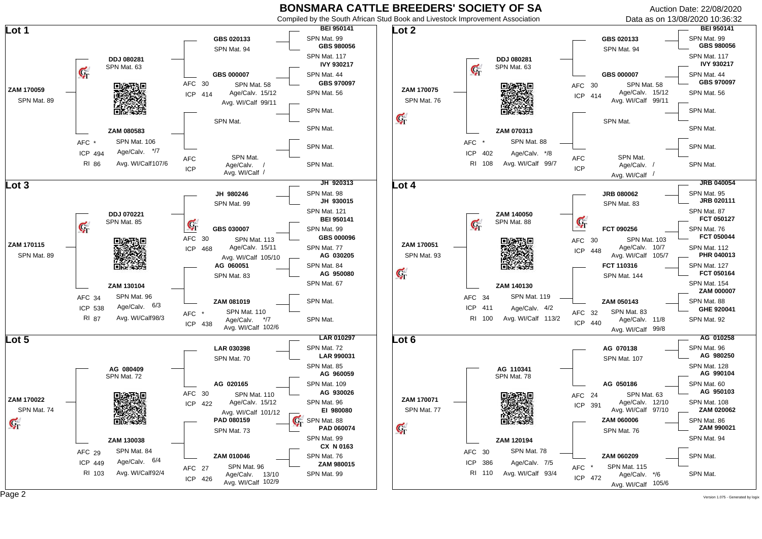Compiled by the South African Stud Book and Livestock Improvement Association

Auction Date: 22/08/2020 Data as on 13/08/2020 10:36:32

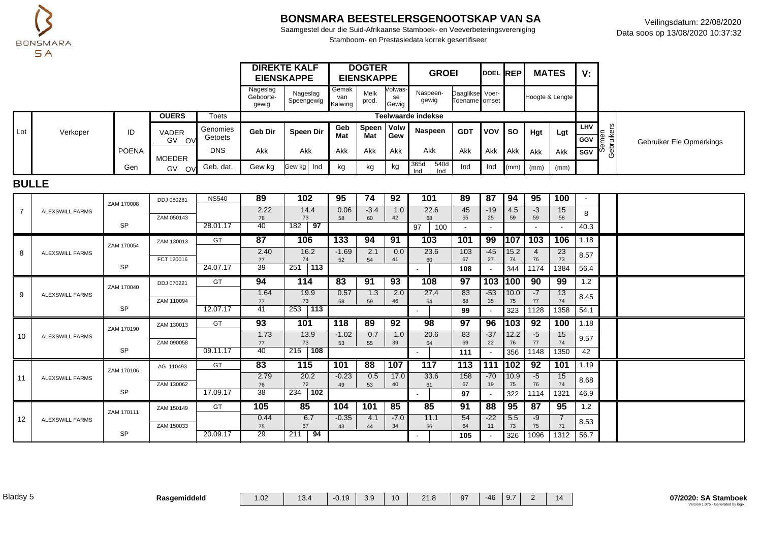

Saamgestel deur die Suid-Afrikaanse Stamboek- en Veeverbeteringsvereniging Stamboom- en Prestasiedata korrek gesertifiseer

|     |          |       |                         |                     |                                | <b>DIREKTE KALF</b><br><b>EIENSKAPPE</b> |              | <b>DOGTER</b><br><b>EIENSKAPPE</b> |                        | <b>GROEI</b>               |                                  | DOEL REP |             | <b>MATES</b>  |                 | V:                       |                      |                          |
|-----|----------|-------|-------------------------|---------------------|--------------------------------|------------------------------------------|--------------|------------------------------------|------------------------|----------------------------|----------------------------------|----------|-------------|---------------|-----------------|--------------------------|----------------------|--------------------------|
|     |          |       |                         |                     | Nageslag<br>Geboorte-<br>gewig | Nageslag<br>Speengewig Kalwing   M       | Gemak<br>van | Melk<br>prod.                      | Volwas-<br>se<br>Gewig | Naspeen-<br>gewig          | Daaglikse Voer-<br>Toename omset |          |             |               | Hoogte & Lengte |                          |                      |                          |
|     |          |       | <b>OUERS</b>            | Toets               |                                |                                          |              |                                    |                        | Teelwaarde indekse         |                                  |          |             |               |                 |                          |                      |                          |
| Lot | Verkoper | ID    | VADER<br>GV OV          | Genomies<br>Getoets | <b>Geb Dir</b>                 | Speen Dir                                | Geb<br>Mat   | Speen   Volw<br>Mat                | Gew                    | Naspeen                    | <b>GDT</b>                       | VOV I SO |             | Hgt           | Lgt             | <b>LHV</b><br><b>GGV</b> | lement<br>ament<br>È | Gebruiker Eie Opmerkings |
|     |          | POENA | <b>MOEDER</b>           | <b>DNS</b>          | Akk                            | Akk                                      | Akk          | Akk                                | Akk                    | <b>Akk</b>                 | Akk                              | Akk      | <b>LAKK</b> | Akk           | <b>Akk</b>      | I SGV                    | မြီး မျိ<br>O        |                          |
|     |          | Gen   | <b>GV</b><br><b>OVI</b> | Geb. dat.           | Gew kg                         | Gew kg   Ind                             | kg           | kg                                 | kg                     | 540d<br>365d<br>Ind<br>Ind | Ind                              | Ind      |             | $(mm)$ $(mm)$ | (mm)            |                          |                      |                          |

#### **BULLE**

|                |                        | ZAM 170008 | DDJ 080281 | <b>NS540</b> | 89              | 102                           | 95      | 74     | 92     | 101             | 89                   | 87    | 94        | 95         | 100          |              |  |
|----------------|------------------------|------------|------------|--------------|-----------------|-------------------------------|---------|--------|--------|-----------------|----------------------|-------|-----------|------------|--------------|--------------|--|
| $\overline{7}$ | <b>ALEXSWILL FARMS</b> |            |            |              | 2.22            | 14.4                          | 0.06    | $-3.4$ | 1.0    | 22.6            | 45                   | $-19$ | 4.5       | $-3$       | 15           | 8            |  |
|                |                        | <b>SP</b>  | ZAM 050143 | 28.01.17     | 78<br>40        | 73<br>$\overline{97}$<br>182  | 58      | 60     | 42     | 68<br>97<br>100 | 55<br>$\blacksquare$ | 25    | 59        | 59         | 58<br>$\sim$ | 40.3         |  |
|                |                        |            |            |              |                 |                               |         |        |        |                 |                      |       |           |            |              |              |  |
|                |                        | ZAM 170054 | ZAM 130013 | GT           | 87              | 106                           | 133     | 94     | 91     | 103             | 101                  | 99    | 107       | 103        | 106          | 1.18         |  |
| 8              | <b>ALEXSWILL FARMS</b> |            |            |              | 2.40            | 16.2                          | $-1.69$ | 2.1    | 0.0    | 23.6            | 103                  | $-45$ | 15.2      | 4          | 23           | 8.57         |  |
|                |                        | <b>SP</b>  | FCT 120016 | 24.07.17     | 77<br>39        | 74<br>$\overline{113}$<br>251 | 52      | 54     | 41     | 60              | 67<br>108            | 27    | 74<br>344 | 76<br>1174 | 73<br>1384   | 56.4         |  |
|                |                        |            |            |              |                 |                               |         |        |        |                 |                      |       |           |            |              |              |  |
|                |                        | ZAM 170040 | DDJ 070221 | GT           | 94              | 114                           | 83      | 91     | 93     | 108             | 97                   | 103   | 100       | 90         | 99           | 1.2          |  |
| 9              | <b>ALEXSWILL FARMS</b> |            |            |              | 1.64            | 19.9                          | 0.57    | 1.3    | 2.0    | 27.4            | 83                   | $-53$ | 10.0      | $-7$       | 13           | 8.45         |  |
|                |                        | <b>SP</b>  | ZAM 110094 | 12.07.17     | 77<br>41        | 73<br>253 113                 | 58      | 59     | 46     | 64              | 68                   | 35    | 75        | 77         | 74           |              |  |
|                |                        |            |            |              |                 |                               |         |        |        |                 | 99                   |       | 323       | 1128       | 1358         | 54.1         |  |
|                |                        | ZAM 170190 | ZAM 130013 | GT           | 93              | 101                           | 118     | 89     | 92     | 98              | 97                   | 96    | 103       | 92         | 100          | 1.18         |  |
|                |                        |            |            |              |                 |                               |         |        |        |                 |                      |       |           |            |              |              |  |
| 10             | ALEXSWILL FARMS        |            |            |              | 1.73            | 13.9                          | $-1.02$ | 0.7    | 1.0    | 20.6            | 83                   | $-37$ | 12.2      | $-5$       | 15           |              |  |
|                |                        |            | ZAM 090058 |              | 77              | 73                            | 53      | 55     | 39     | 64              | 69                   | 22    | 76        | 77         | 74           | 9.57         |  |
|                |                        | <b>SP</b>  |            | 09.11.17     | 40              | $216$ 108                     |         |        |        |                 | 111                  |       | 356       | 1148       | 1350         | 42           |  |
|                |                        |            | AG 110493  | GT           | 83              | 115                           | 101     | 88     | 107    | 117             | 113                  | 111   | 1102      | 92         | 101          | 1.19         |  |
| 11             | <b>ALEXSWILL FARMS</b> | ZAM 170106 |            |              | 2.79            | 20.2                          | $-0.23$ | 0.5    | 17.0   | 33.6            | 158                  | $-70$ | 10.9      | $-5$       | 15           |              |  |
|                |                        |            | ZAM 130062 |              | 76              | 72                            | 49      | 53     | 40     | 61              | 67                   | 19    | 75        | 76         | 74           | 8.68         |  |
|                |                        | <b>SP</b>  |            | 17.09.17     | $\overline{38}$ | 102<br>234                    |         |        |        |                 | 97                   |       | 322       | 1114       | 1321         | 46.9         |  |
|                |                        |            | ZAM 150149 | <b>GT</b>    | 105             | 85                            | 104     | 101    | 85     | 85              | 91                   | 88    | 95        | 87         | 95           | 1.2          |  |
| 12             | ALEXSWILL FARMS        | ZAM 170111 |            |              | 0.44            | 6.7                           | $-0.35$ | 4.1    | $-7.0$ | 11.1            | 54                   | $-22$ | 5.5       | $-9$       |              |              |  |
|                |                        | <b>SP</b>  | ZAM 150033 | 20.09.17     | 75<br>29        | 67<br>94<br>211               | 43      | 44     | 34     | 56              | 64<br>105            | 11    | 73<br>326 | 75<br>1096 | 71<br>1312   | 8.53<br>56.7 |  |

Bladsy 5 **Rasgemiddeld** 1.02 13.4 -0.19 3.9 10 21.8 97 -46 9.7 2 14 **07/2020: SA Stamboek**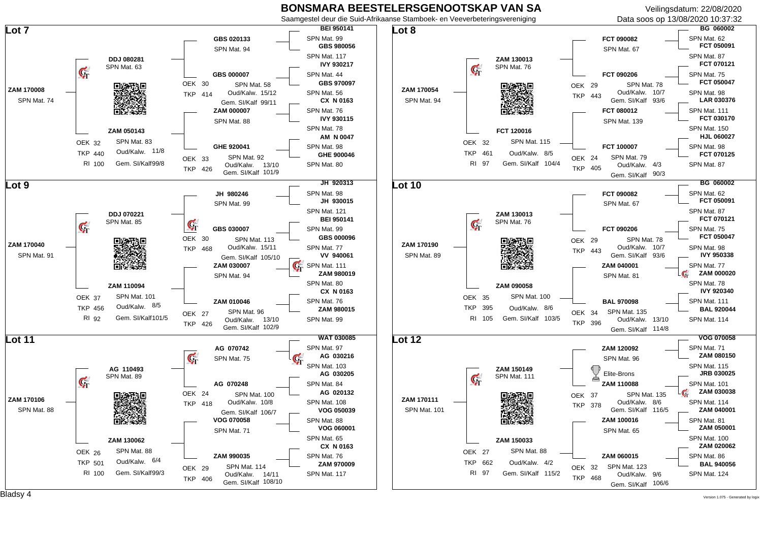Veilingsdatum: 22/08/2020



 $\mathsf{Bladsy}\ 4$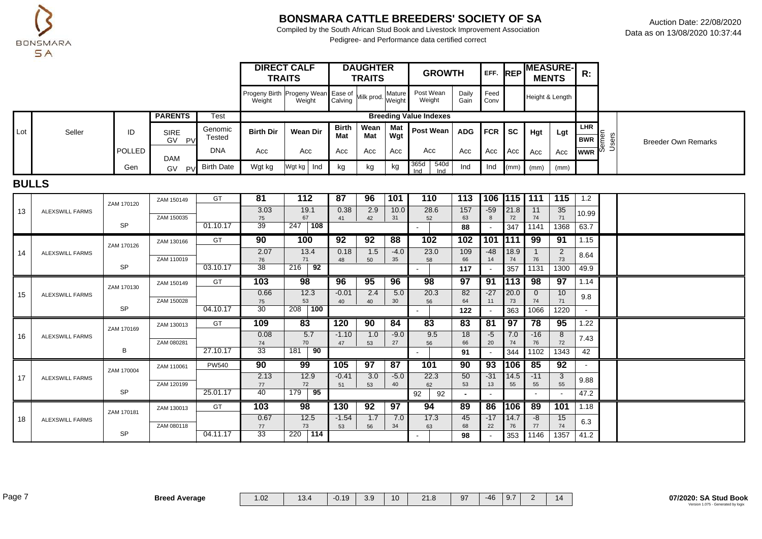

Compiled by the South African Stud Book and Livestock Improvement Association Pedigree- and Performance data certified correct

|     |        |        |                      |                                   |                                                                | <b>DIRECT CALF</b><br><b>TRAITS</b> |              | <b>DAUGHTER</b><br><b>TRAITS</b> |            | <b>GROWTH</b>                 |               | EFF. REP     |             | <b>MENTS</b>  | <b>MEASURE-</b> | R:                                       |                            |
|-----|--------|--------|----------------------|-----------------------------------|----------------------------------------------------------------|-------------------------------------|--------------|----------------------------------|------------|-------------------------------|---------------|--------------|-------------|---------------|-----------------|------------------------------------------|----------------------------|
|     |        |        |                      |                                   | Progeny Birth Progeny Wean Ease of Milk prod. Mature<br>Weight | Weight                              | Calving      |                                  | Weight     | Post Wean<br>Weight           | Daily<br>Gain | Feed<br>Conv |             |               | Height & Length |                                          |                            |
|     |        |        | <b>PARENTS</b>       | <b>Test</b>                       |                                                                |                                     |              |                                  |            | <b>Breeding Value Indexes</b> |               |              |             |               |                 |                                          |                            |
| ∟ot | Seller | ID     | <b>SIRE</b><br>GV PV | Genomic<br>Tested                 | <b>Birth Dir</b>                                               | Wean Dir                            | Birth<br>Mat | Wean  <br>Mat                    | Mat<br>Wgt | Post Wean                     | <b>ADG</b>    | $FCR$ SC     |             | Hgt           | Lgt             | <b>LHR</b><br>BWR<br>BWR<br>WWR<br>O D S | <b>Breeder Own Remarks</b> |
|     |        | POLLED | <b>DAM</b>           | <b>DNA</b>                        | Acc                                                            | Acc                                 | Acc          | Acc                              | Acc        | Acc                           | Acc           | Acc          | $1$ Acc $1$ | Acc           | Acc             |                                          |                            |
|     |        | Gen    | GV                   | $\cdot$ p <sub>V</sub> Birth Date | Wgt kg                                                         | Wgt kg   Ind                        | kg           | kg                               | kg         | 365d<br>540d<br>Ind           | Ind           | Ind          |             | $(mm)$ $(mm)$ | (mm)            |                                          |                            |

#### **BULLS**

|    |                        | ZAM 170120 | ZAM 150149 | GT           | 81         | 112              | 87         | 96        | 101             | 110        | 113            | 106 1115                 |               | 111          | 115                      | 1.2         |  |
|----|------------------------|------------|------------|--------------|------------|------------------|------------|-----------|-----------------|------------|----------------|--------------------------|---------------|--------------|--------------------------|-------------|--|
| 13 | <b>ALEXSWILL FARMS</b> |            |            |              | 3.03       | 19.1             | 0.38       | 2.9       | 10.0            | 28.6       | 157            | $-59$                    | 21.8          | 11           | 35                       | 10.99       |  |
|    |                        | <b>SP</b>  | ZAM 150035 | 01.10.17     | 75<br>39   | 67<br>108<br>247 | 41         | 42        | 31              | 52         | 63<br>88       |                          | 72<br>347     | 74<br>1141   | 71<br>1368               | 63.7        |  |
|    |                        |            |            | GT           | 90         | 100              | 92         | 92        | 88              | 102        | 102            | 101                      | <b>1111</b>   | 99           | 91                       | 1.15        |  |
|    |                        | ZAM 170126 | ZAM 130166 |              |            |                  |            |           |                 |            |                |                          |               |              |                          |             |  |
| 14 | <b>ALEXSWILL FARMS</b> |            | ZAM 110019 |              | 2.07<br>76 | 13.4<br>71       | 0.18<br>48 | 1.5<br>50 | $-4.0$<br>35    | 23.0<br>58 | 109<br>66      | $-48$<br>14              | 18.9<br>74    | 76           | $\overline{2}$<br>73     | 8.64        |  |
|    |                        | <b>SP</b>  |            | 03.10.17     | 38         | 92<br>216        |            |           |                 |            | 117            |                          | 357           | 1131         | 1300                     | 49.9        |  |
|    |                        |            |            |              | 103        | 98               | 96         | 95        | 96              | 98         | 97             | 91                       | $ 113\rangle$ | 98           | 97                       | 1.14        |  |
|    |                        | ZAM 170130 | ZAM 150149 | GT           |            |                  |            |           |                 |            |                |                          |               |              |                          |             |  |
| 15 | <b>ALEXSWILL FARMS</b> |            |            |              | 0.66       | 12.3             | $-0.01$    | 2.4       | 5.0             | 20.3       | 82             | $-27$                    | 20.0          | $\mathbf{0}$ | 10                       | 9.8         |  |
|    |                        | <b>SP</b>  | ZAM 150028 | 04.10.17     | 75<br>30   | 53<br>100<br>208 | 40         | 40        | 30              | 56         | 64             | 11                       | 73<br>363     | 74<br>1066   | 71<br>1220               |             |  |
|    |                        |            |            |              |            |                  |            |           |                 | $\sim$     | 122            |                          |               |              |                          |             |  |
|    |                        |            | ZAM 130013 | GT           | 109        | 83               | 120        | 90        | 84              | 83         | 83             | 81                       | 97            | 78           | 95                       | 1.22        |  |
|    |                        |            |            |              |            |                  |            |           |                 |            |                |                          |               |              |                          |             |  |
| 16 | <b>ALEXSWILL FARMS</b> | ZAM 170169 |            |              | 0.08       | 5.7              | $-1.10$    | 1.0       | $-9.0$          | 9.5        | 18             | $-5$                     | 7.0           | $-16$        | 8                        |             |  |
|    |                        |            | ZAM 080281 |              | 74         | 70               | 47         | 53        | 27              | 56         | 66             | 20                       | 74            | 76           | 72                       | 7.43        |  |
|    |                        | В          |            | 27.10.17     | 33         | 90<br>181        |            |           |                 | $\sim$     | 91             |                          | 344           | 1102         | 1343                     | 42          |  |
|    |                        |            | ZAM 110061 | <b>PW540</b> | 90         | 99               | 105        | 97        | 87              | 101        | 90             | 93                       | 106           | 85           | 92                       |             |  |
| 17 | <b>ALEXSWILL FARMS</b> | ZAM 170004 |            |              | 2.13       | 12.9             | $-0.41$    | 3.0       | $-5.0$          | 22.3       | 50             | $-31$                    | 14.5          | $-11$        | 3                        |             |  |
|    |                        |            | ZAM 120199 |              | 77         | 72               | 51         | 53        | 40              | 62         | 53             | 13                       | 55            | 55           | 55                       | 9.88        |  |
|    |                        | <b>SP</b>  |            | 25.01.17     | 40         | 95<br>179        |            |           |                 | 92<br>92   | $\blacksquare$ | $\overline{\phantom{a}}$ |               |              | $\overline{\phantom{a}}$ | 47.2        |  |
|    |                        |            | ZAM 130013 | GT           | 103        | 98               | 130        | 92        | $\overline{97}$ | 94         | 89             | 86                       | <b>106</b>    | 89           | 101                      | 1.18        |  |
| 18 | <b>ALEXSWILL FARMS</b> | ZAM 170181 |            |              | 0.67       | 12.5             | $-1.54$    | 1.7       | 7.0             | 17.3       | 45             | $-17$                    | 14.7          | -8           | 15                       |             |  |
|    |                        | <b>SP</b>  | ZAM 080118 | 04.11.17     | 77<br>33   | 73<br>114<br>220 | 53         | 56        | 34              | 63         | 68<br>98       | 22                       | 76<br>353     | 77<br>1146   | 74<br>1357               | 6.3<br>41.2 |  |

Page 7 **Breed Average** 1.02 13.4 -0.19 3.9 10 21.8 97 -46 9.7 2 14 **07/2020: SA Stud Book**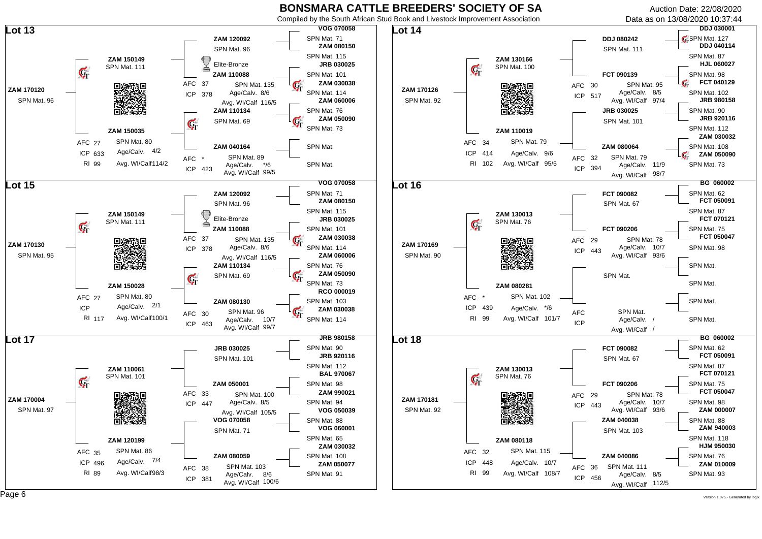Compiled by the South African Stud Book and Livestock Improvement Association

Auction Date: 22/08/2020

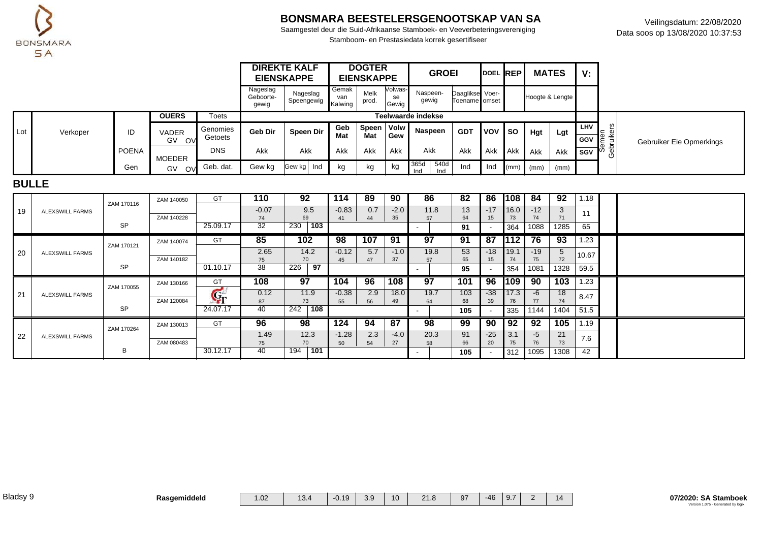

Saamgestel deur die Suid-Afrikaanse Stamboek- en Veeverbeteringsvereniging Stamboom- en Prestasiedata korrek gesertifiseer

|     |          |       |                                  |                     |                                | <b>DIREKTE KALF</b><br><b>EIENSKAPPE</b> |              | <b>DOGTER</b><br><b>EIENSKAPPE</b> |                        | <b>GROEI</b>       |                                  | DOEL REP  |             | <b>MATES</b>  |                 | ۷.                |                    |                          |
|-----|----------|-------|----------------------------------|---------------------|--------------------------------|------------------------------------------|--------------|------------------------------------|------------------------|--------------------|----------------------------------|-----------|-------------|---------------|-----------------|-------------------|--------------------|--------------------------|
|     |          |       |                                  |                     | Nageslag<br>Geboorte-<br>gewig | Nageslag<br>Speengewig Kalwing   M       | Gemak<br>van | Melk<br>prod.                      | Volwas-<br>se<br>Gewig | Naspeen-<br>gewig  | Daaglikse Voer-<br>Toename omset |           |             |               | Hoogte & Lengte |                   |                    |                          |
|     |          |       | <b>OUERS</b>                     | Toets               |                                |                                          |              |                                    |                        | Teelwaarde indekse |                                  |           |             |               |                 |                   |                    |                          |
| ∟ot | Verkoper | ID    | <b>VADER</b><br>G٧<br><b>OVI</b> | Genomies<br>Getoets | <b>Geb Dir</b>                 | Speen Dir                                | Geb<br>Mat   | Speen   Volw<br>Mat                | Gew                    | Naspeen            | <b>GDT</b>                       | Ivov I so |             | Hgt           | Lgt             | <b>LHV</b><br>GGV | $\frac{1}{2}$<br>当 | Gebruiker Eie Opmerkings |
|     |          | POENA | <b>MOEDER</b>                    | <b>DNS</b>          | Akk                            | Akk                                      | Akk          | Akk                                | Akk                    | Akk                | Akk                              | Akk       | <b>LAkk</b> | Akk           | <b>Akk</b>      | I SGV             | မ္က မူ<br>O        |                          |
|     |          | Gen   | GV<br><b>OVI</b>                 | Geb. dat.           | Gew kg                         | Gew kg   Ind                             | kg           | kg                                 | kg                     | 540d<br>365d       | Ind                              | Ind       |             | $(mm)$ $(mm)$ | (mm)            |                   |                    |                          |

#### **BULLE**

|    |                 | ZAM 170116 | ZAM 140050 | GT                    | 110     | 92         | 114     | 89  | 90              | 86   | 82  | 86    | 108           | 84    | 92   | 1.18  |  |
|----|-----------------|------------|------------|-----------------------|---------|------------|---------|-----|-----------------|------|-----|-------|---------------|-------|------|-------|--|
| 19 | ALEXSWILL FARMS |            |            |                       | $-0.07$ | 9.5        | $-0.83$ | 0.7 | $-2.0$          | 11.8 | 13  | $-17$ | 116.0         | $-12$ | 3    | 11    |  |
|    |                 |            | ZAM 140228 |                       | 74      | 69         | 41      | 44  | 35              | 57   | 64  |       | 73            | 74    | 71   |       |  |
|    |                 | <b>SP</b>  |            | 25.09.17              | 32      | 103<br>230 |         |     |                 |      | 91  |       | 364           | 1088  | 1285 | 65    |  |
|    |                 | ZAM 170121 | ZAM 140074 | GT                    | 85      | 102        | 98      | 107 | 91              | 97   | 91  | 87    | 1112          | 76    | 93   | 1.23  |  |
| 20 | ALEXSWILL FARMS |            |            |                       | 2.65    | 14.2       | $-0.12$ | 5.7 | $-1.0$          | 19.8 | 53  | $-18$ | 19.1          | $-19$ | 5    |       |  |
|    |                 |            | ZAM 140182 |                       | 75      | 70         | 45      | 47  | 37              | 57   | 65  | 15    | 74            | 75    | 72   | 10.67 |  |
|    |                 | <b>SP</b>  |            | 01.10.17              | 38      | 226<br>97  |         |     |                 |      | 95  |       | 354           | 1081  | 1328 | 59.5  |  |
|    |                 |            |            |                       |         |            |         |     |                 |      |     |       |               |       |      |       |  |
|    |                 |            | ZAM 130166 | GT                    | 108     | 97         | 104     | 96  | 108             | 97   | 101 | 96    | $ 109\rangle$ | 90    | 103  | 1.23  |  |
|    |                 | ZAM 170055 |            |                       | 0.12    | 11.9       | $-0.38$ | 2.9 | 18.0            | 19.7 | 103 | $-38$ | 17.3          | $-6$  | 18   |       |  |
| 21 | ALEXSWILL FARMS |            | ZAM 120084 | $\mathbf{G}_{\Gamma}$ | 87      | 73         | 55      | 56  | 49              | 64   | 68  | 39    | 76            | 77    | 74   | 8.47  |  |
|    |                 | <b>SP</b>  |            | 24.07.17              | 40      | 108<br>242 |         |     |                 |      | 105 |       | 335           | 1144  | 1404 | 51.5  |  |
|    |                 |            | ZAM 130013 | GT                    | 96      | 98         | 124     | 94  | $\overline{87}$ | 98   | 99  | 90    | 92            | 92    | 105  | 1.19  |  |
|    |                 | ZAM 170264 |            |                       | 1.49    | 12.3       | $-1.28$ | 2.3 | $-4.0$          | 20.3 | 91  | $-25$ | 3.1           | $-5$  | 21   |       |  |
| 22 | ALEXSWILL FARMS |            | ZAM 080483 |                       | 75      | 70         | 50      | 54  | 27              | 58   | 66  | 20    | 75            | 76    | 73   | 7.6   |  |